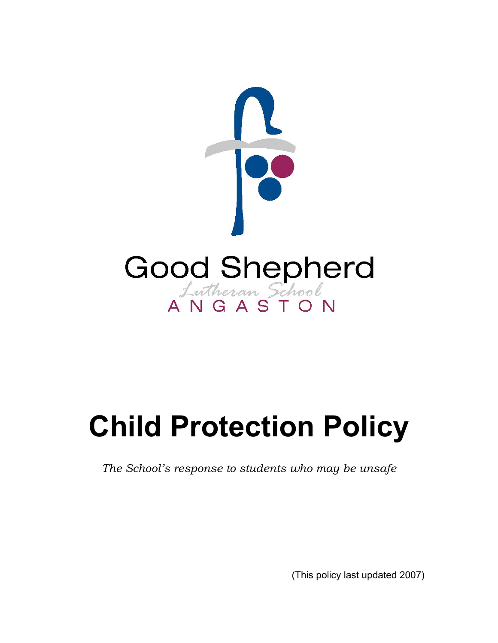

## **Child Protection Policy**

*The School's response to students who may be unsafe*

(This policy last updated 2007)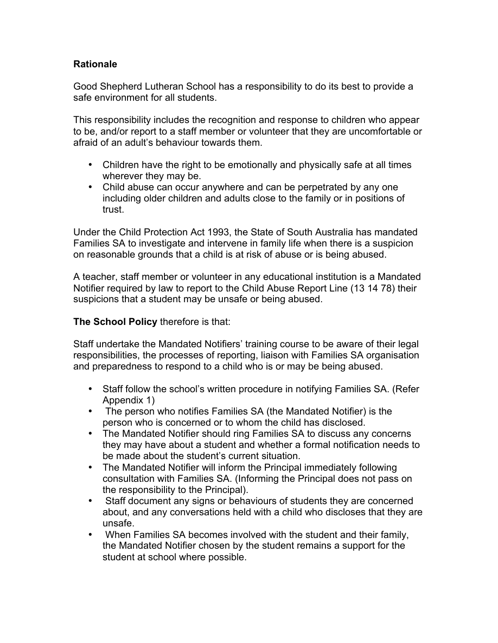## **Rationale**

Good Shepherd Lutheran School has a responsibility to do its best to provide a safe environment for all students.

This responsibility includes the recognition and response to children who appear to be, and/or report to a staff member or volunteer that they are uncomfortable or afraid of an adult's behaviour towards them.

- Children have the right to be emotionally and physically safe at all times wherever they may be.
- Child abuse can occur anywhere and can be perpetrated by any one including older children and adults close to the family or in positions of trust.

Under the Child Protection Act 1993, the State of South Australia has mandated Families SA to investigate and intervene in family life when there is a suspicion on reasonable grounds that a child is at risk of abuse or is being abused.

A teacher, staff member or volunteer in any educational institution is a Mandated Notifier required by law to report to the Child Abuse Report Line (13 14 78) their suspicions that a student may be unsafe or being abused.

## **The School Policy** therefore is that:

Staff undertake the Mandated Notifiers' training course to be aware of their legal responsibilities, the processes of reporting, liaison with Families SA organisation and preparedness to respond to a child who is or may be being abused.

- Staff follow the school's written procedure in notifying Families SA. (Refer Appendix 1)
- The person who notifies Families SA (the Mandated Notifier) is the person who is concerned or to whom the child has disclosed.
- The Mandated Notifier should ring Families SA to discuss any concerns they may have about a student and whether a formal notification needs to be made about the student's current situation.
- The Mandated Notifier will inform the Principal immediately following consultation with Families SA. (Informing the Principal does not pass on the responsibility to the Principal).
- Staff document any signs or behaviours of students they are concerned about, and any conversations held with a child who discloses that they are unsafe.
- When Families SA becomes involved with the student and their family, the Mandated Notifier chosen by the student remains a support for the student at school where possible.